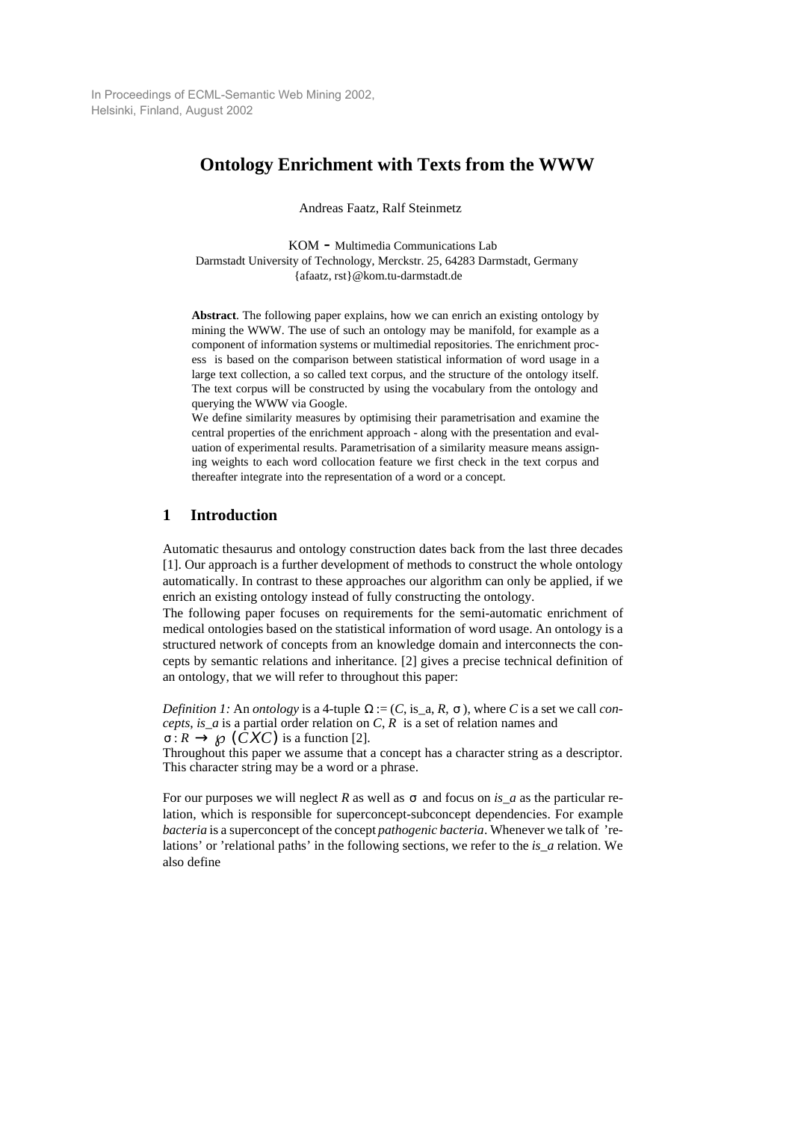In Proceedings of ECML-Semantic Web Mining 2002, Helsinki, Finland, August 2002

# **Ontology Enrichment with Texts from the WWW**

Andreas Faatz, Ralf Steinmetz

KOM **-** Multimedia Communications Lab Darmstadt University of Technology, Merckstr. 25, 64283 Darmstadt, Germany {afaatz, rst}@kom.tu-darmstadt.de

**Abstract**. The following paper explains, how we can enrich an existing ontology by mining the WWW. The use of such an ontology may be manifold, for example as a component of information systems or multimedial repositories. The enrichment process is based on the comparison between statistical information of word usage in a large text collection, a so called text corpus, and the structure of the ontology itself. The text corpus will be constructed by using the vocabulary from the ontology and querying the WWW via Google.

We define similarity measures by optimising their parametrisation and examine the central properties of the enrichment approach - along with the presentation and evaluation of experimental results. Parametrisation of a similarity measure means assigning weights to each word collocation feature we first check in the text corpus and thereafter integrate into the representation of a word or a concept.

## **1 Introduction**

Automatic thesaurus and ontology construction dates back from the last three decades [1]. Our approach is a further development of methods to construct the whole ontology automatically. In contrast to these approaches our algorithm can only be applied, if we enrich an existing ontology instead of fully constructing the ontology.

The following paper focuses on requirements for the semi-automatic enrichment of medical ontologies based on the statistical information of word usage. An ontology is a structured network of concepts from an knowledge domain and interconnects the concepts by semantic relations and inheritance. [2] gives a precise technical definition of an ontology, that we will refer to throughout this paper:

*Definition 1:* An *ontology* is a 4-tuple  $\Omega := (C, \text{is}_a, R, \sigma)$ , where *C* is a set we call *concepts*, *is\_a* is a partial order relation on *C*, *R* is a set of relation names and  $\sigma$  :  $R \to \wp\left(CXC\right)$  is a function [2].

Throughout this paper we assume that a concept has a character string as a descriptor. This character string may be a word or a phrase.

For our purposes we will neglect *R* as well as  $\sigma$  and focus on *is\_a* as the particular relation, which is responsible for superconcept-subconcept dependencies. For example *bacteria* is a superconcept of the concept *pathogenic bacteria*. Whenever we talk of 'relations' or 'relational paths' in the following sections, we refer to the *is\_a* relation. We also define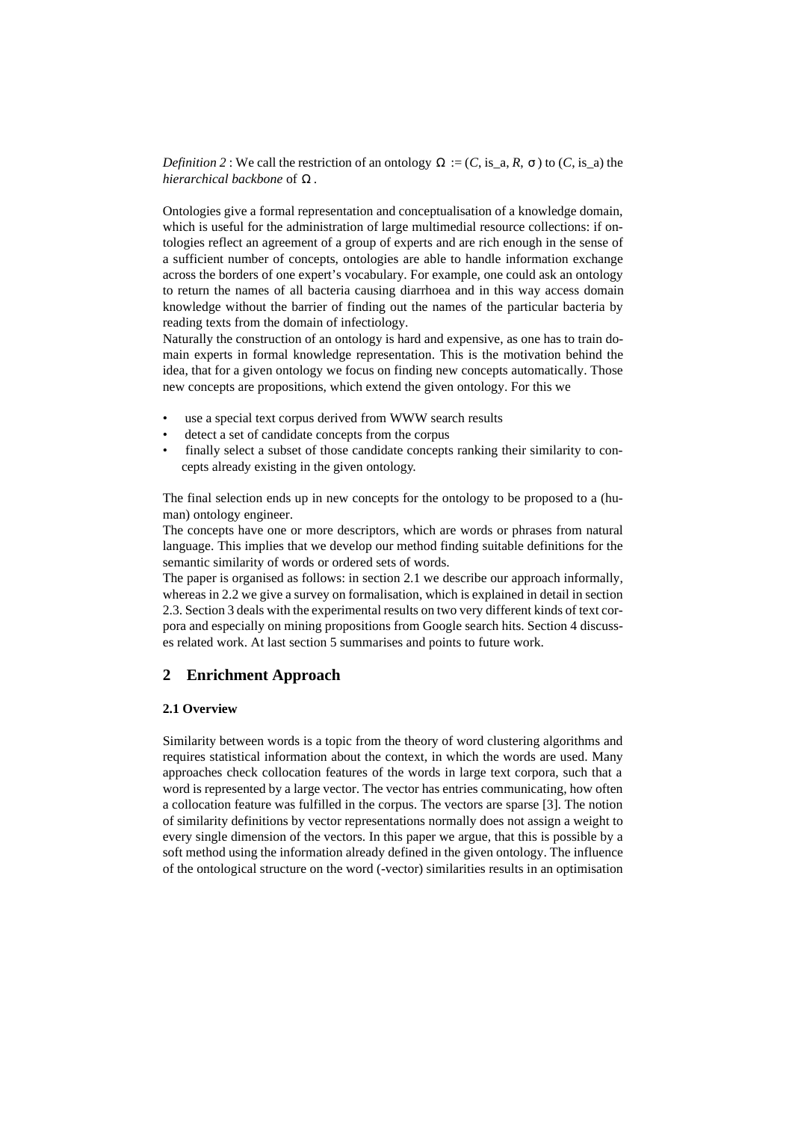*Definition* 2 : We call the restriction of an ontology  $\Omega := (C, is_a, R, \sigma)$  to  $(C, is_a)$  the hierarchical backbone of Ω.

Ontologies give a formal representation and conceptualisation of a knowledge domain, which is useful for the administration of large multimedial resource collections: if ontologies reflect an agreement of a group of experts and are rich enough in the sense of a sufficient number of concepts, ontologies are able to handle information exchange across the borders of one expert's vocabulary. For example, one could ask an ontology to return the names of all bacteria causing diarrhoea and in this way access domain knowledge without the barrier of finding out the names of the particular bacteria by reading texts from the domain of infectiology.

Naturally the construction of an ontology is hard and expensive, as one has to train domain experts in formal knowledge representation. This is the motivation behind the idea, that for a given ontology we focus on finding new concepts automatically. Those new concepts are propositions, which extend the given ontology. For this we

- use a special text corpus derived from WWW search results
- detect a set of candidate concepts from the corpus
- finally select a subset of those candidate concepts ranking their similarity to concepts already existing in the given ontology.

The final selection ends up in new concepts for the ontology to be proposed to a (human) ontology engineer.

The concepts have one or more descriptors, which are words or phrases from natural language. This implies that we develop our method finding suitable definitions for the semantic similarity of words or ordered sets of words.

The paper is organised as follows: in section 2.1 we describe our approach informally, whereas in 2.2 we give a survey on formalisation, which is explained in detail in section 2.3. Section 3 deals with the experimental results on two very different kinds of text corpora and especially on mining propositions from Google search hits. Section 4 discusses related work. At last section 5 summarises and points to future work.

## **2 Enrichment Approach**

### **2.1 Overview**

Similarity between words is a topic from the theory of word clustering algorithms and requires statistical information about the context, in which the words are used. Many approaches check collocation features of the words in large text corpora, such that a word is represented by a large vector. The vector has entries communicating, how often a collocation feature was fulfilled in the corpus. The vectors are sparse [3]. The notion of similarity definitions by vector representations normally does not assign a weight to every single dimension of the vectors. In this paper we argue, that this is possible by a soft method using the information already defined in the given ontology. The influence of the ontological structure on the word (-vector) similarities results in an optimisation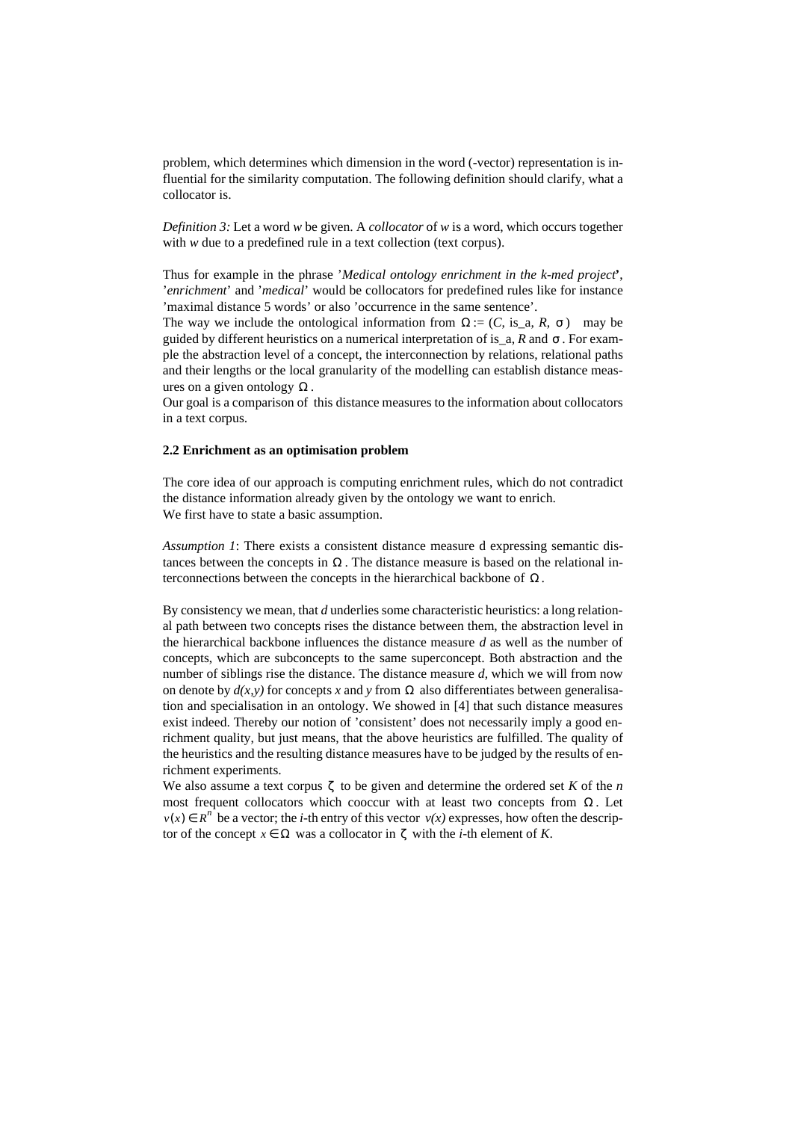problem, which determines which dimension in the word (-vector) representation is influential for the similarity computation. The following definition should clarify, what a collocator is.

*Definition 3:* Let a word *w* be given. A *collocator* of *w* is a word, which occurs together with *w* due to a predefined rule in a text collection (text corpus).

Thus for example in the phrase '*Medical ontology enrichment in the k-med project***'**, '*enrichment*' and '*medical*' would be collocators for predefined rules like for instance 'maximal distance 5 words' or also 'occurrence in the same sentence'.

The way we include the ontological information from  $\Omega := (C, \text{ is }_{-}a, R, \sigma)$  may be guided by different heuristics on a numerical interpretation of is\_a, R and σ. For example the abstraction level of a concept, the interconnection by relations, relational paths and their lengths or the local granularity of the modelling can establish distance measures on a given ontology  $\Omega$ .

Our goal is a comparison of this distance measures to the information about collocators in a text corpus.

#### **2.2 Enrichment as an optimisation problem**

The core idea of our approach is computing enrichment rules, which do not contradict the distance information already given by the ontology we want to enrich. We first have to state a basic assumption.

*Assumption 1*: There exists a consistent distance measure d expressing semantic distances between the concepts in  $\Omega$ . The distance measure is based on the relational interconnections between the concepts in the hierarchical backbone of  $\Omega$ .

By consistency we mean, that *d* underlies some characteristic heuristics: a long relational path between two concepts rises the distance between them, the abstraction level in the hierarchical backbone influences the distance measure *d* as well as the number of concepts, which are subconcepts to the same superconcept. Both abstraction and the number of siblings rise the distance. The distance measure *d*, which we will from now on denote by  $d(x, y)$  for concepts x and y from  $\Omega$  also differentiates between generalisation and specialisation in an ontology. We showed in [4] that such distance measures exist indeed. Thereby our notion of 'consistent' does not necessarily imply a good enrichment quality, but just means, that the above heuristics are fulfilled. The quality of the heuristics and the resulting distance measures have to be judged by the results of enrichment experiments.

We also assume a text corpus  $\zeta$  to be given and determine the ordered set *K* of the *n* most frequent collocators which cooccur with at least two concepts from  $\Omega$ . Let  $v(x) \in R^n$  be a vector; the *i*-th entry of this vector  $v(x)$  expresses, how often the descriptor of the concept  $x \in \Omega$  was a collocator in  $\zeta$  with the *i*-th element of *K*.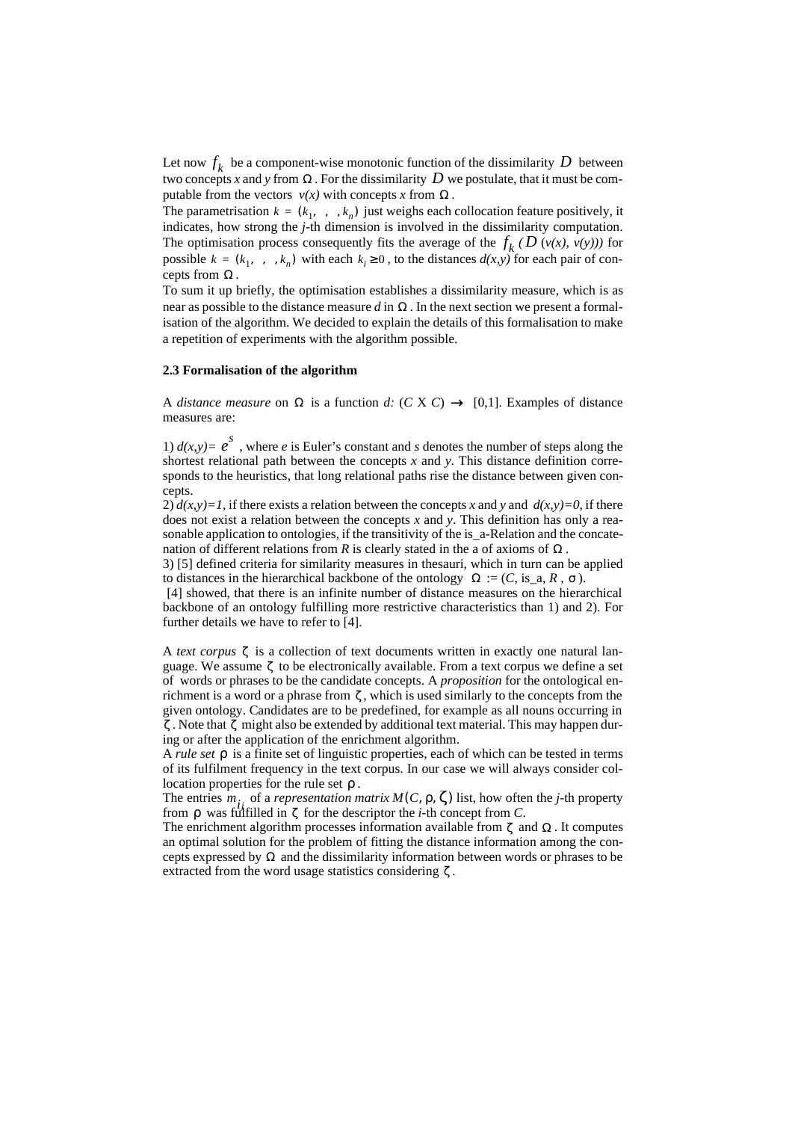Let now  $f_k$  be a component-wise monotonic function of the dissimilarity D between two concepts *x* and *y* from  $\Omega$ . For the dissimilarity D we postulate, that it must be computable from the vectors  $v(x)$  with concepts *x* from Ω.

The parametrisation  $k = (k_1, \ldots, k_n)$  just weighs each collocation feature positively, it indicates, how strong the *j*-th dimension is involved in the dissimilarity computation. The optimisation process consequently fits the average of the  $f_k$  ( $D$  ( $v(x)$ ,  $v(y)$ )) for possible  $k = (k_1, \ldots, k_n)$  with each  $k_i \geq 0$ , to the distances  $d(x, y)$  for each pair of concepts from  $\Omega$ .

To sum it up briefly, the optimisation establishes a dissimilarity measure, which is as near as possible to the distance measure  $d$  in  $\Omega$ . In the next section we present a formalisation of the algorithm. We decided to explain the details of this formalisation to make a repetition of experiments with the algorithm possible.

#### **2.3 Formalisation of the algorithm**

A *distance measure* on  $\Omega$  is a function *d:*  $(C X C) \rightarrow [0,1]$ . Examples of distance measures are:

1)  $d(x, y) = e^s$ , where *e* is Euler's constant and *s* denotes the number of steps along the shortest relational path between the concepts *x* and *y*. This distance definition corresponds to the heuristics, that long relational paths rise the distance between given concepts.

2)  $d(x, y) = 1$ , if there exists a relation between the concepts x and y and  $d(x, y) = 0$ , if there does not exist a relation between the concepts *x* and *y*. This definition has only a reasonable application to ontologies, if the transitivity of the is  $a$ -Relation and the concatenation of different relations from  $R$  is clearly stated in the a of axioms of  $\Omega$ .

3) [5] defined criteria for similarity measures in thesauri, which in turn can be applied to distances in the hierarchical backbone of the ontology  $\Omega := (C, is\_a, R, \sigma)$ .

 [4] showed, that there is an infinite number of distance measures on the hierarchical backbone of an ontology fulfilling more restrictive characteristics than 1) and 2). For further details we have to refer to [4].

A *text corpus* ζ is a collection of text documents written in exactly one natural language. We assume  $\zeta$  to be electronically available. From a text corpus we define a set of words or phrases to be the candidate concepts*.* A *proposition* for the ontological enrichment is a word or a phrase from  $\zeta$ , which is used similarly to the concepts from the given ontology. Candidates are to be predefined, for example as all nouns occurring in ζ. Note that ζ might also be extended by additional text material. This may happen during or after the application of the enrichment algorithm.

A *rule set*  $ρ$  is a finite set of linguistic properties, each of which can be tested in terms of its fulfilment frequency in the text corpus. In our case we will always consider collocation properties for the rule set  $\rho$ .

The entries  $m_i$ , of a *representation matrix*  $M(C, \rho, \zeta)$  list, how often the *j*-th property from  $\rho$  was fulfilled in  $\zeta$  for the descriptor the *i*-th concept from *C*.

The enrichment algorithm processes information available from  $\zeta$  and  $\Omega$ . It computes an optimal solution for the problem of fitting the distance information among the concepts expressed by  $\Omega$  and the dissimilarity information between words or phrases to be extracted from the word usage statistics considering  $\zeta$ .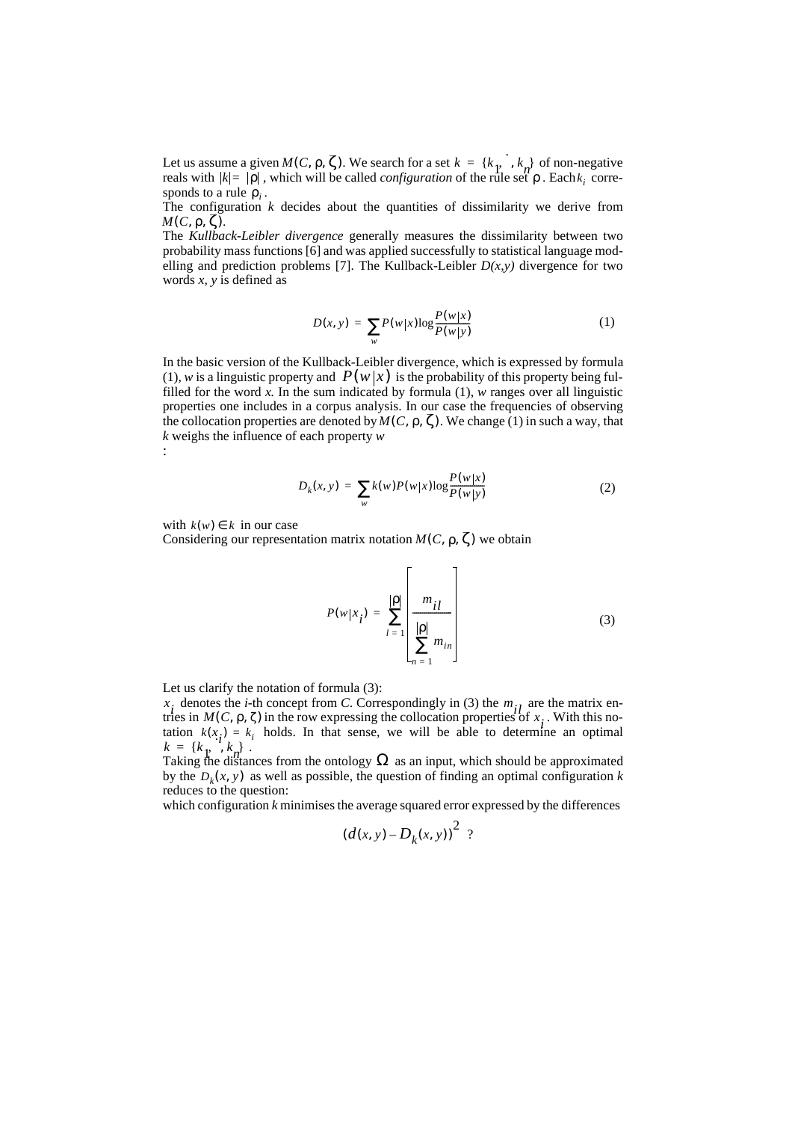Let us assume a given  $M(C, \rho, \zeta)$ . We search for a set  $k = \{k_1, \ldots, k_n\}$  of non-negative Let us assume a given  $M(C, \rho, \zeta)$ . We search for a set  $k = \{k_1, \dots, k_n\}$  of non-negative reals with  $|k| = |\rho|$ , which will be called *configuration* of the rule set  $\rho$ . Each  $k_i$  corresponds to a rule  $\rho_i$ .  $k$  =  $|\rho|$ , which will be called *configuration* of the rule set  $\rho$ . Each  $k_i$ 

The configuration  $k$  decides about the quantities of dissimilarity we derive from  $M(C, \rho, \zeta)$ .

The *Kullback-Leibler divergence* generally measures the dissimilarity between two probability mass functions [6] and was applied successfully to statistical language modelling and prediction problems [7]. The Kullback-Leibler  $D(x, y)$  divergence for two words *x, y* is defined as

$$
D(x, y) = \sum_{w} P(w|x) \log \frac{P(w|x)}{P(w|y)} \tag{1}
$$

In the basic version of the Kullback-Leibler divergence, which is expressed by formula (1), w is a linguistic property and  $P(w|x)$  is the probability of this property being fulfilled for the word  $x$ . In the sum indicated by formula (1),  $w$  ranges over all linguistic properties one includes in a corpus analysis. In our case the frequencies of observing the collocation properties are denoted by  $M(C, \rho, \zeta)$ . We change (1) in such a way, that *k* weighs the influence of each property *w* :

$$
D_{k}(x, y) = \sum_{w} k(w) P(w|x) \log \frac{P(w|x)}{P(w|y)}
$$
(2)

with  $k(w) \in k$  in our case

Considering our representation matrix notation  $M(C, \rho, \zeta)$  we obtain

$$
P(w|x_i) = \sum_{l=1}^{|p|} \left[ \frac{m_{il}}{\prod_{n=1}^{|p|} m_{in}} \right]
$$
 (3)

Let us clarify the notation of formula (3):

denotes the *i*-th concept from *C*. Correspondingly in (3) the  $m_{i,j}$  are the matrix entries in  $M(C, \rho, \zeta)$  in the row expressing the collocation properties of  $x_i$ . With this nothes in  $M(C, \rho, \zeta)$  in the row expressing the conocation properties of  $x_i$ . With this in-<br>tation  $k(x_i) = k_i$  holds. In that sense, we will be able to determine an optimal  $k = \{k_1, k_2\}$ .<br>  $k = \{k_1, k_n\}$ . *x*<sub>i</sub> denotes the *i*-th concept from *C*. Correspondingly in (3) the  $m_{i_l}$  are tries in  $M(C, \rho, \zeta)$  in the row expressing the collocation properties of *x* 

Taking the distances from the ontology  $\Omega$  as an input, which should be approximated by the  $D_k(x, y)$  as well as possible, the question of finding an optimal configuration *k* reduces to the question:

which configuration *k* minimises the average squared error expressed by the differences

$$
\left(d(x,y)-D_k(x,y)\right)^2
$$
?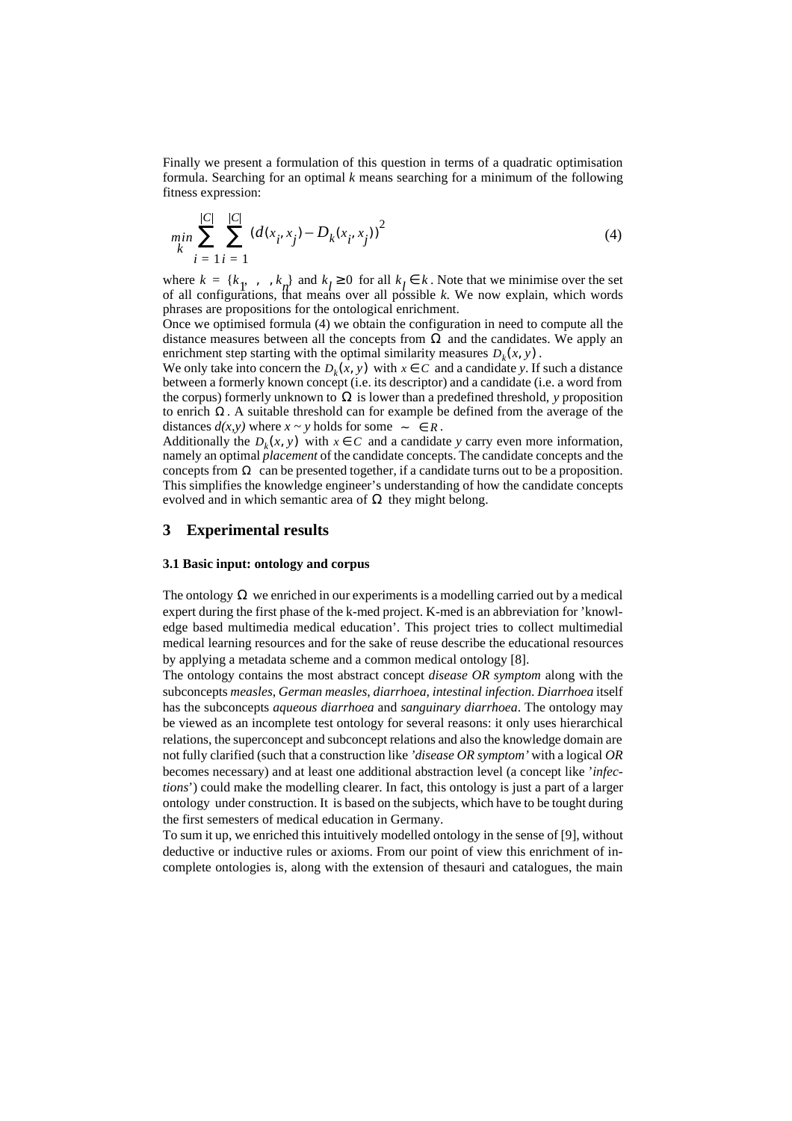Finally we present a formulation of this question in terms of a quadratic optimisation formula. Searching for an optimal *k* means searching for a minimum of the following fitness expression:

$$
\min_{k} \sum_{i=1}^{|C|} \sum_{i=1}^{|C|} (d(x_i, x_j) - D_k(x_i, x_j))^2
$$
\n(4)

where  $k = \{k_1, \ldots, k_n\}$  and  $k_i \geq 0$  for all  $k_i \in k$ . Note that we minimise over the set where  $k = \{k_1, \ldots, k_n\}$  and  $k_l \ge 0$  for all  $k_l \in k$ . Note that we minimise over the set of all configurations, that means over all possible *k*. We now explain, which words phrases are propositions for the ontological enrichment.

Once we optimised formula (4) we obtain the configuration in need to compute all the distance measures between all the concepts from  $\Omega$  and the candidates. We apply an enrichment step starting with the optimal similarity measures  $D_k(x, y)$ .

We only take into concern the  $D_k(x, y)$  with  $x \in C$  and a candidate *y*. If such a distance between a formerly known concept (i.e. its descriptor) and a candidate (i.e. a word from the corpus) formerly unknown to  $\Omega$  is lower than a predefined threshold, *y* proposition to enrich  $Ω$ . A suitable threshold can for example be defined from the average of the distances  $d(x, y)$  where  $x \sim y$  holds for some  $\sim \in R$ .

Additionally the  $D_k(x, y)$  with  $x \in C$  and a candidate *y* carry even more information, namely an optimal *placement* of the candidate concepts. The candidate concepts and the concepts from  $\Omega$  can be presented together, if a candidate turns out to be a proposition. This simplifies the knowledge engineer's understanding of how the candidate concepts evolved and in which semantic area of  $\Omega$  they might belong.

#### **3 Experimental results**

#### **3.1 Basic input: ontology and corpus**

The ontology  $\Omega$  we enriched in our experiments is a modelling carried out by a medical expert during the first phase of the k-med project. K-med is an abbreviation for 'knowledge based multimedia medical education'. This project tries to collect multimedial medical learning resources and for the sake of reuse describe the educational resources by applying a metadata scheme and a common medical ontology [8].

The ontology contains the most abstract concept *disease OR symptom* along with the subconcepts *measles*, *German measles*, *diarrhoea*, *intestinal infection*. *Diarrhoea* itself has the subconcepts *aqueous diarrhoea* and *sanguinary diarrhoea*. The ontology may be viewed as an incomplete test ontology for several reasons: it only uses hierarchical relations, the superconcept and subconcept relations and also the knowledge domain are not fully clarified (such that a construction like *'disease OR symptom'* with a logical *OR* becomes necessary) and at least one additional abstraction level (a concept like '*infections*') could make the modelling clearer. In fact, this ontology is just a part of a larger ontology under construction. It is based on the subjects, which have to be tought during the first semesters of medical education in Germany.

To sum it up, we enriched this intuitively modelled ontology in the sense of [9], without deductive or inductive rules or axioms. From our point of view this enrichment of incomplete ontologies is, along with the extension of thesauri and catalogues, the main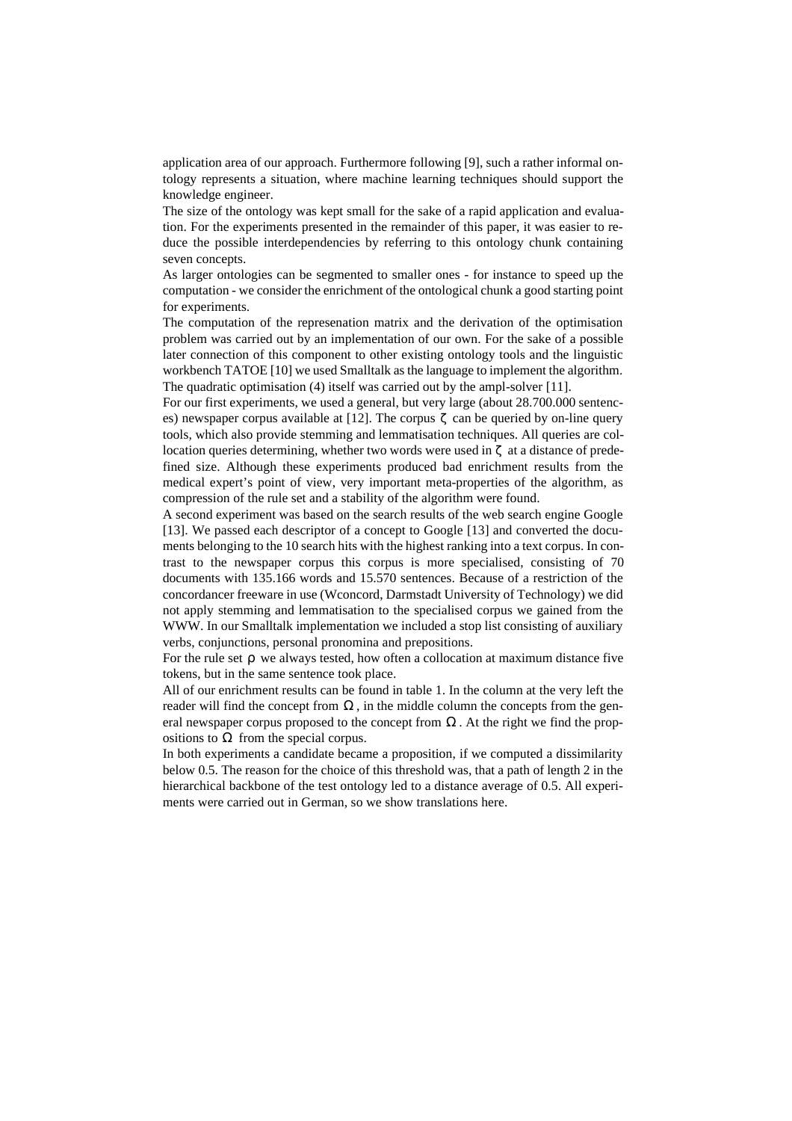application area of our approach. Furthermore following [9], such a rather informal ontology represents a situation, where machine learning techniques should support the knowledge engineer.

The size of the ontology was kept small for the sake of a rapid application and evaluation. For the experiments presented in the remainder of this paper, it was easier to reduce the possible interdependencies by referring to this ontology chunk containing seven concepts.

As larger ontologies can be segmented to smaller ones - for instance to speed up the computation - we consider the enrichment of the ontological chunk a good starting point for experiments.

The computation of the represenation matrix and the derivation of the optimisation problem was carried out by an implementation of our own. For the sake of a possible later connection of this component to other existing ontology tools and the linguistic workbench TATOE [10] we used Smalltalk as the language to implement the algorithm. The quadratic optimisation (4) itself was carried out by the ampl-solver [11].

For our first experiments, we used a general, but very large (about 28.700.000 sentences) newspaper corpus available at [12]. The corpus  $\zeta$  can be queried by on-line query tools, which also provide stemming and lemmatisation techniques. All queries are collocation queries determining, whether two words were used in  $\zeta$  at a distance of predefined size. Although these experiments produced bad enrichment results from the medical expert's point of view, very important meta-properties of the algorithm, as compression of the rule set and a stability of the algorithm were found.

A second experiment was based on the search results of the web search engine Google [13]. We passed each descriptor of a concept to Google [13] and converted the documents belonging to the 10 search hits with the highest ranking into a text corpus. In contrast to the newspaper corpus this corpus is more specialised, consisting of 70 documents with 135.166 words and 15.570 sentences. Because of a restriction of the concordancer freeware in use (Wconcord, Darmstadt University of Technology) we did not apply stemming and lemmatisation to the specialised corpus we gained from the WWW. In our Smalltalk implementation we included a stop list consisting of auxiliary verbs, conjunctions, personal pronomina and prepositions.

For the rule set  $\rho$  we always tested, how often a collocation at maximum distance five tokens, but in the same sentence took place.

All of our enrichment results can be found in table 1. In the column at the very left the reader will find the concept from  $\Omega$ , in the middle column the concepts from the general newspaper corpus proposed to the concept from  $\Omega$ . At the right we find the propositions to  $\Omega$  from the special corpus.

In both experiments a candidate became a proposition, if we computed a dissimilarity below 0.5. The reason for the choice of this threshold was, that a path of length 2 in the hierarchical backbone of the test ontology led to a distance average of 0.5. All experiments were carried out in German, so we show translations here.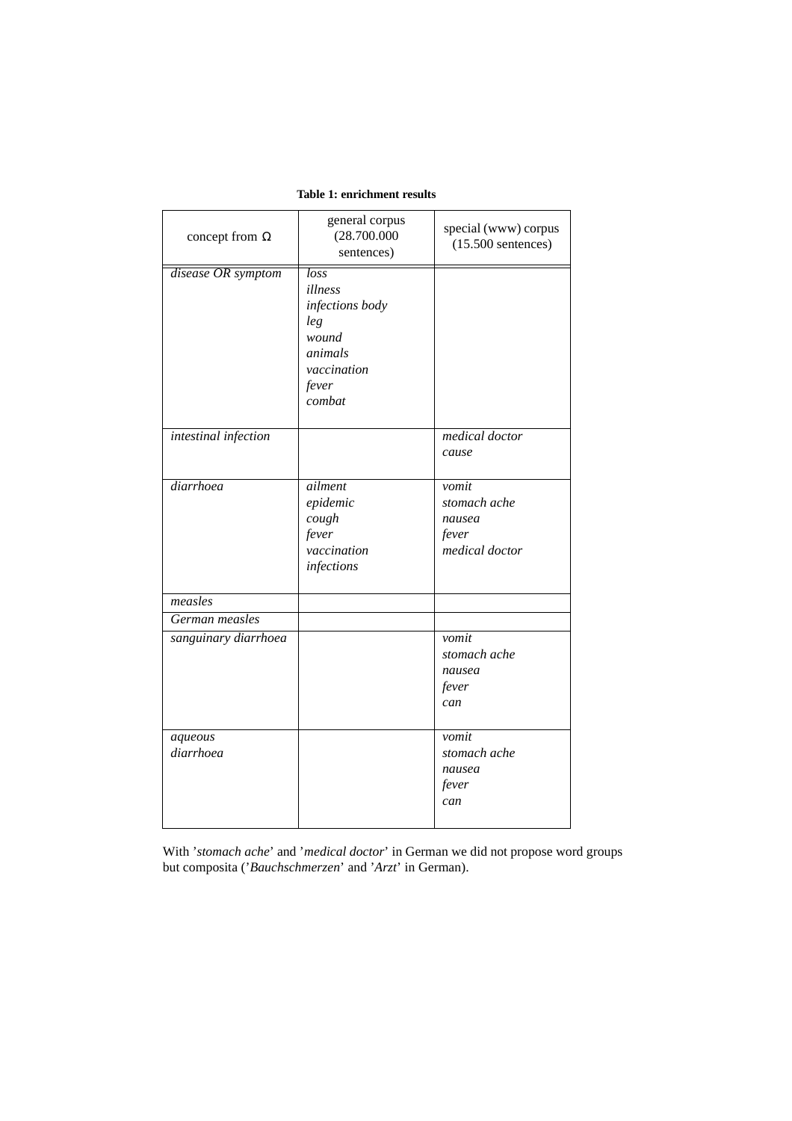| concept from $\Omega$                  | general corpus<br>(28.700.000)<br>sentences)                                                                 | special (www) corpus<br>$(15.500$ sentences)               |
|----------------------------------------|--------------------------------------------------------------------------------------------------------------|------------------------------------------------------------|
| disease OR symptom                     | $\overline{loss}$<br>illness<br>infections body<br>leg<br>wound<br>animals<br>vaccination<br>fever<br>combat |                                                            |
| intestinal infection                   |                                                                                                              | medical doctor<br>cause                                    |
| diarrhoea                              | ailment<br>epidemic<br>cough<br>fever<br>vaccination<br>infections                                           | vomit<br>stomach ache<br>nausea<br>fever<br>medical doctor |
| measles                                |                                                                                                              |                                                            |
| German measles<br>sanguinary diarrhoea |                                                                                                              | vomit<br>stomach ache<br>nausea<br>fever<br>can            |
| aqueous<br>diarrhoea                   |                                                                                                              | vomit<br>stomach ache<br>nausea<br>fever<br>can            |

## **Table 1: enrichment results**

With '*stomach ache*' and '*medical doctor*' in German we did not propose word groups but composita ('*Bauchschmerzen*' and '*Arzt*' in German).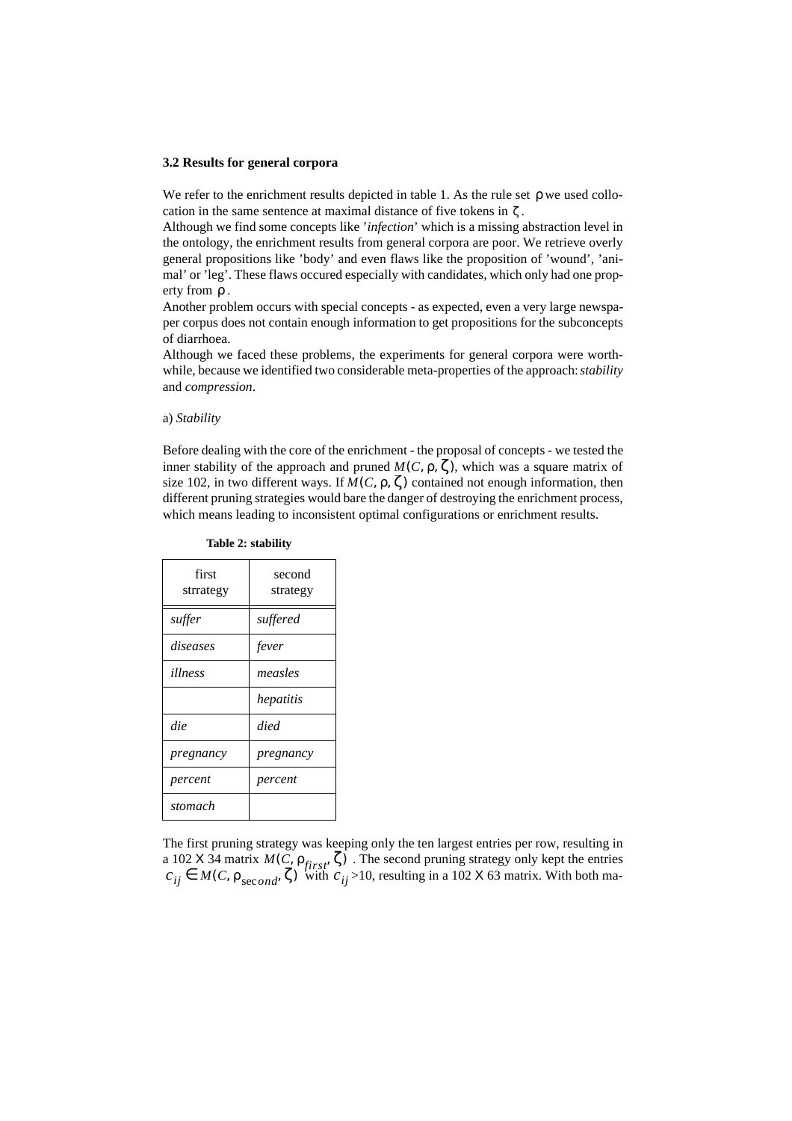#### **3.2 Results for general corpora**

We refer to the enrichment results depicted in table 1. As the rule set  $\rho$  we used collocation in the same sentence at maximal distance of five tokens in  $\zeta$ .

Although we find some concepts like '*infection*' which is a missing abstraction level in the ontology, the enrichment results from general corpora are poor. We retrieve overly general propositions like 'body' and even flaws like the proposition of 'wound', 'animal' or 'leg'. These flaws occured especially with candidates, which only had one property from  $\rho$ .

Another problem occurs with special concepts - as expected, even a very large newspaper corpus does not contain enough information to get propositions for the subconcepts of diarrhoea.

Although we faced these problems, the experiments for general corpora were worthwhile, because we identified two considerable meta-properties of the approach: *stability* and *compression*.

#### a) *Stability*

Before dealing with the core of the enrichment - the proposal of concepts - we tested the inner stability of the approach and pruned  $M(C, \rho, \zeta)$ , which was a square matrix of size 102, in two different ways. If  $M(C, \rho, \zeta)$  contained not enough information, then different pruning strategies would bare the danger of destroying the enrichment process, which means leading to inconsistent optimal configurations or enrichment results.

| first<br>strrategy | second<br>strategy |
|--------------------|--------------------|
| suffer             | suffered           |
| diseases           | fever              |
| illness            | measles            |
|                    | hepatitis          |
| die                | died               |
| pregnancy          | pregnancy          |
| percent            | percent            |
| stomach            |                    |

### **Table 2: stability**

The first pruning strategy was keeping only the ten largest entries per row, resulting in a 102 X 34 matrix  $M(C, \rho_{first}, \zeta)$ . The second pruning strategy only kept the entries  $M(C, \rho_{first}, \zeta)$ . The second pruning strategy only kept the entries  $M(C, \rho_{first}, \zeta)$  with  $c_{ii} > 10$ , resulting in a 102 X 63 matrix. With both ma $c_{ij} \in M(C, \rho_{second}, \zeta)$  with  $c_{ij}$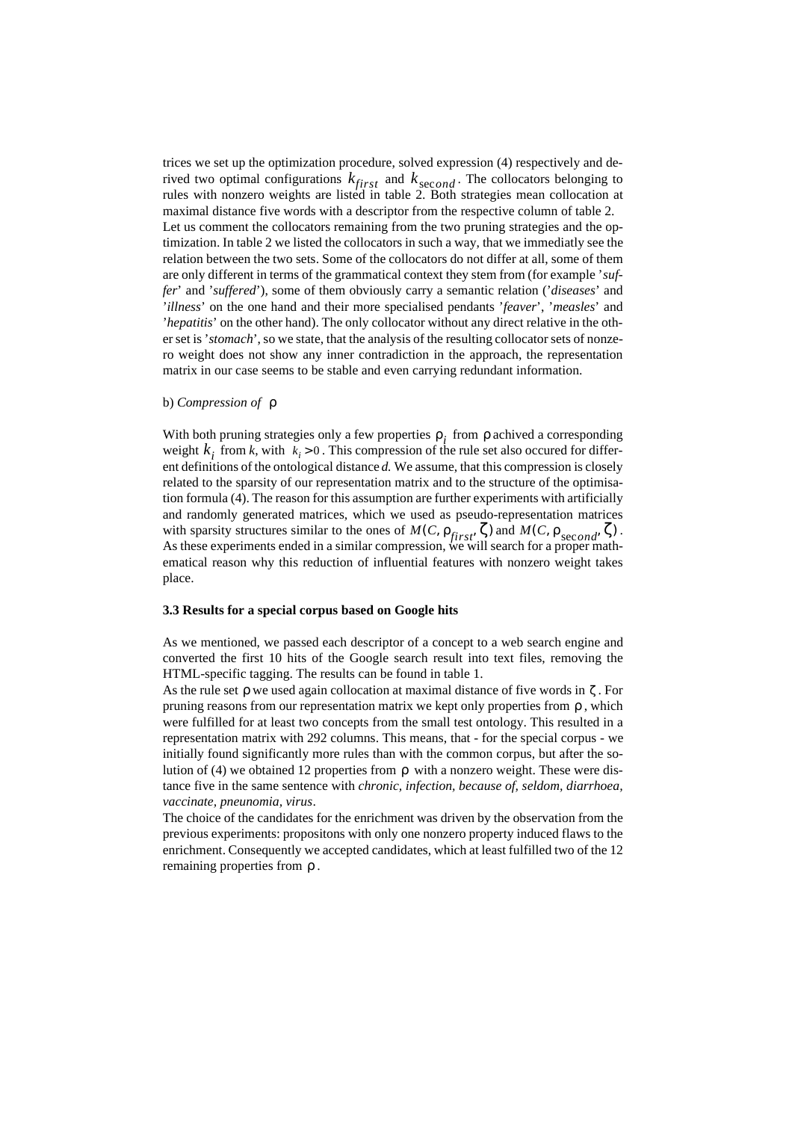trices we set up the optimization procedure, solved expression (4) respectively and derived two optimal configurations  $k_{first}$  and  $k_{second}$ . The collocators belonging to rules with nonzero weights are listed in table 2. Both strategies mean collocation at maximal distance five words with a descriptor from the respective column of table 2. Let us comment the collocators remaining from the two pruning strategies and the optimization. In table 2 we listed the collocators in such a way, that we immediatly see the relation between the two sets. Some of the collocators do not differ at all, some of them are only different in terms of the grammatical context they stem from (for example '*suffer*' and '*suffered*'), some of them obviously carry a semantic relation ('*diseases*' and '*illness*' on the one hand and their more specialised pendants '*feaver*', '*measles*' and '*hepatitis*' on the other hand). The only collocator without any direct relative in the other set is '*stomach*', so we state, that the analysis of the resulting collocator sets of nonzero weight does not show any inner contradiction in the approach, the representation matrix in our case seems to be stable and even carrying redundant information. *kfirst k*sec*ond*

#### b) *Compression of*  ρ

With both pruning strategies only a few properties  $\rho_i$  from  $\rho$  achived a corresponding weight  $k_i$  from *k*, with  $k_i > 0$ . This compression of the rule set also occured for different definitions of the ontological distance *d.* We assume, that this compression is closely related to the sparsity of our representation matrix and to the structure of the optimisation formula (4). The reason for this assumption are further experiments with artificially and randomly generated matrices, which we used as pseudo-representation matrices with sparsity structures similar to the ones of  $M(C, \rho_{first}, \zeta)$  and  $M(C, \rho_{second}, \zeta)$ . As these experiments ended in a similar compression, we will search for a proper mathematical reason why this reduction of influential features with nonzero weight takes place.

### **3.3 Results for a special corpus based on Google hits**

As we mentioned, we passed each descriptor of a concept to a web search engine and converted the first 10 hits of the Google search result into text files, removing the HTML-specific tagging. The results can be found in table 1.

As the rule set  $\rho$  we used again collocation at maximal distance of five words in  $\zeta$ . For pruning reasons from our representation matrix we kept only properties from  $\rho$ , which were fulfilled for at least two concepts from the small test ontology. This resulted in a representation matrix with 292 columns. This means, that - for the special corpus - we initially found significantly more rules than with the common corpus, but after the solution of (4) we obtained 12 properties from  $\rho$  with a nonzero weight. These were distance five in the same sentence with *chronic, infection, because of, seldom, diarrhoea, vaccinate, pneunomia, virus*.

The choice of the candidates for the enrichment was driven by the observation from the previous experiments: propositons with only one nonzero property induced flaws to the enrichment. Consequently we accepted candidates, which at least fulfilled two of the 12 remaining properties from ρ.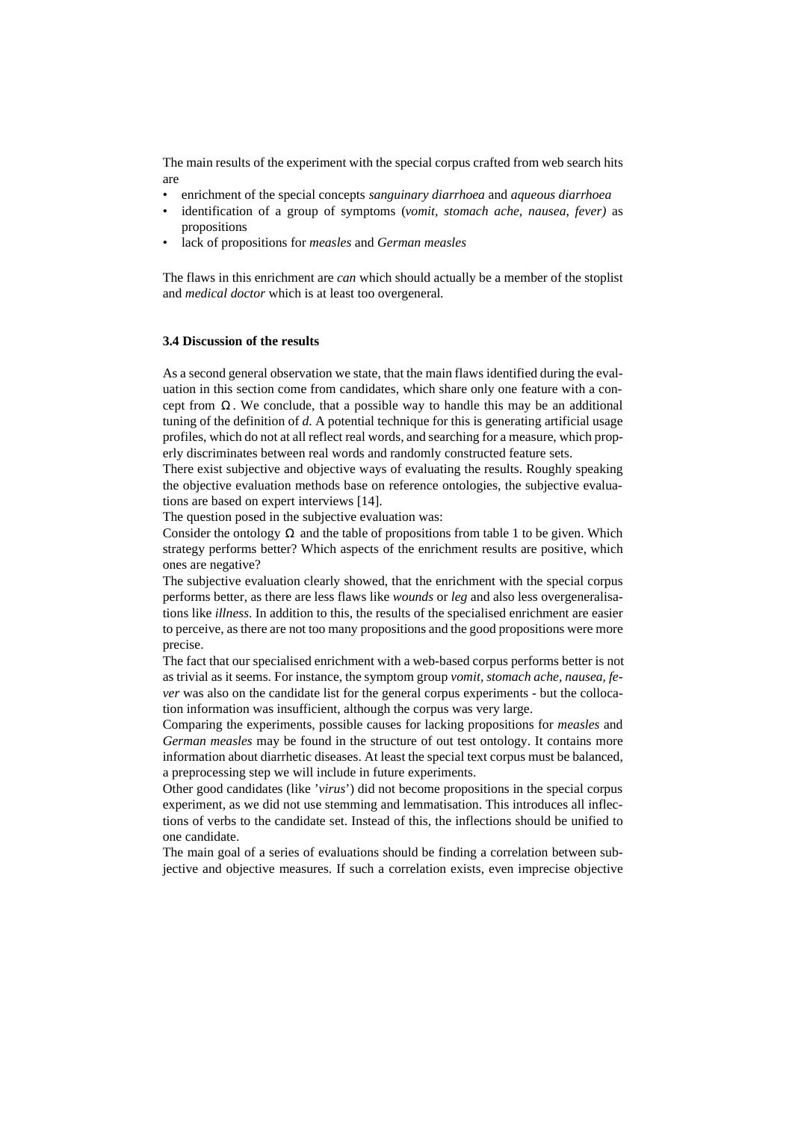The main results of the experiment with the special corpus crafted from web search hits are

- enrichment of the special concepts *sanguinary diarrhoea* and *aqueous diarrhoea*
- identification of a group of symptoms (*vomit, stomach ache, nausea, fever)* as propositions
- lack of propositions for *measles* and *German measles*

The flaws in this enrichment are *can* which should actually be a member of the stoplist and *medical doctor* which is at least too overgeneral*.*

## **3.4 Discussion of the results**

As a second general observation we state, that the main flaws identified during the evaluation in this section come from candidates, which share only one feature with a concept from  $\Omega$ . We conclude, that a possible way to handle this may be an additional tuning of the definition of *d*. A potential technique for this is generating artificial usage profiles, which do not at all reflect real words, and searching for a measure, which properly discriminates between real words and randomly constructed feature sets.

There exist subjective and objective ways of evaluating the results. Roughly speaking the objective evaluation methods base on reference ontologies, the subjective evaluations are based on expert interviews [14].

The question posed in the subjective evaluation was:

Consider the ontology  $\Omega$  and the table of propositions from table 1 to be given. Which strategy performs better? Which aspects of the enrichment results are positive, which ones are negative?

The subjective evaluation clearly showed, that the enrichment with the special corpus performs better, as there are less flaws like *wounds* or *leg* and also less overgeneralisations like *illness*. In addition to this, the results of the specialised enrichment are easier to perceive, as there are not too many propositions and the good propositions were more precise.

The fact that our specialised enrichment with a web-based corpus performs better is not as trivial as it seems. For instance, the symptom group *vomit, stomach ache, nausea, fever* was also on the candidate list for the general corpus experiments - but the collocation information was insufficient, although the corpus was very large.

Comparing the experiments, possible causes for lacking propositions for *measles* and *German measles* may be found in the structure of out test ontology. It contains more information about diarrhetic diseases. At least the special text corpus must be balanced, a preprocessing step we will include in future experiments.

Other good candidates (like '*virus*') did not become propositions in the special corpus experiment, as we did not use stemming and lemmatisation. This introduces all inflections of verbs to the candidate set. Instead of this, the inflections should be unified to one candidate.

The main goal of a series of evaluations should be finding a correlation between subjective and objective measures. If such a correlation exists, even imprecise objective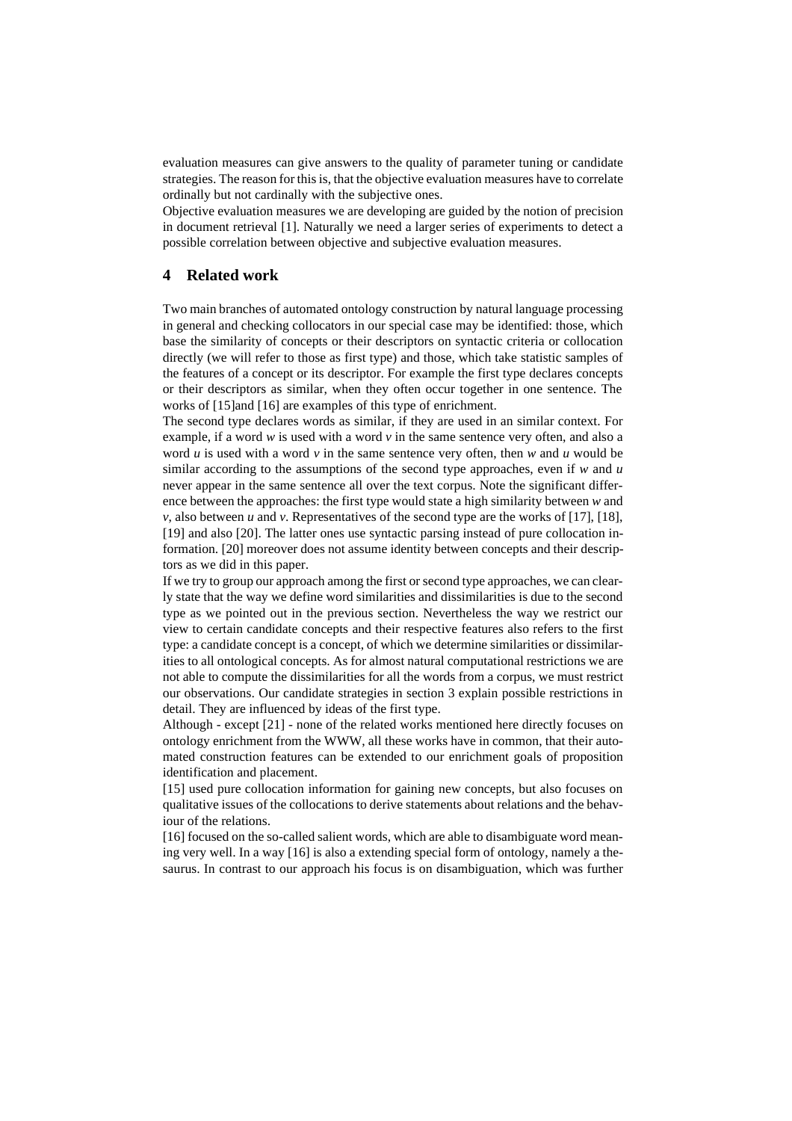evaluation measures can give answers to the quality of parameter tuning or candidate strategies. The reason for this is, that the objective evaluation measures have to correlate ordinally but not cardinally with the subjective ones.

Objective evaluation measures we are developing are guided by the notion of precision in document retrieval [1]. Naturally we need a larger series of experiments to detect a possible correlation between objective and subjective evaluation measures.

## **4 Related work**

Two main branches of automated ontology construction by natural language processing in general and checking collocators in our special case may be identified: those, which base the similarity of concepts or their descriptors on syntactic criteria or collocation directly (we will refer to those as first type) and those, which take statistic samples of the features of a concept or its descriptor. For example the first type declares concepts or their descriptors as similar, when they often occur together in one sentence. The works of [15]and [16] are examples of this type of enrichment.

The second type declares words as similar, if they are used in an similar context. For example, if a word *w* is used with a word *v* in the same sentence very often, and also a word  $\vec{u}$  is used with a word  $\vec{v}$  in the same sentence very often, then  $\vec{w}$  and  $\vec{u}$  would be similar according to the assumptions of the second type approaches, even if *w* and *u* never appear in the same sentence all over the text corpus. Note the significant difference between the approaches: the first type would state a high similarity between *w* and *v*, also between *u* and *v*. Representatives of the second type are the works of [17], [18], [19] and also [20]. The latter ones use syntactic parsing instead of pure collocation information. [20] moreover does not assume identity between concepts and their descriptors as we did in this paper.

If we try to group our approach among the first or second type approaches, we can clearly state that the way we define word similarities and dissimilarities is due to the second type as we pointed out in the previous section. Nevertheless the way we restrict our view to certain candidate concepts and their respective features also refers to the first type: a candidate concept is a concept, of which we determine similarities or dissimilarities to all ontological concepts. As for almost natural computational restrictions we are not able to compute the dissimilarities for all the words from a corpus, we must restrict our observations. Our candidate strategies in section 3 explain possible restrictions in detail. They are influenced by ideas of the first type.

Although - except [21] - none of the related works mentioned here directly focuses on ontology enrichment from the WWW, all these works have in common, that their automated construction features can be extended to our enrichment goals of proposition identification and placement.

[15] used pure collocation information for gaining new concepts, but also focuses on qualitative issues of the collocations to derive statements about relations and the behaviour of the relations.

[16] focused on the so-called salient words, which are able to disambiguate word meaning very well. In a way [16] is also a extending special form of ontology, namely a thesaurus. In contrast to our approach his focus is on disambiguation, which was further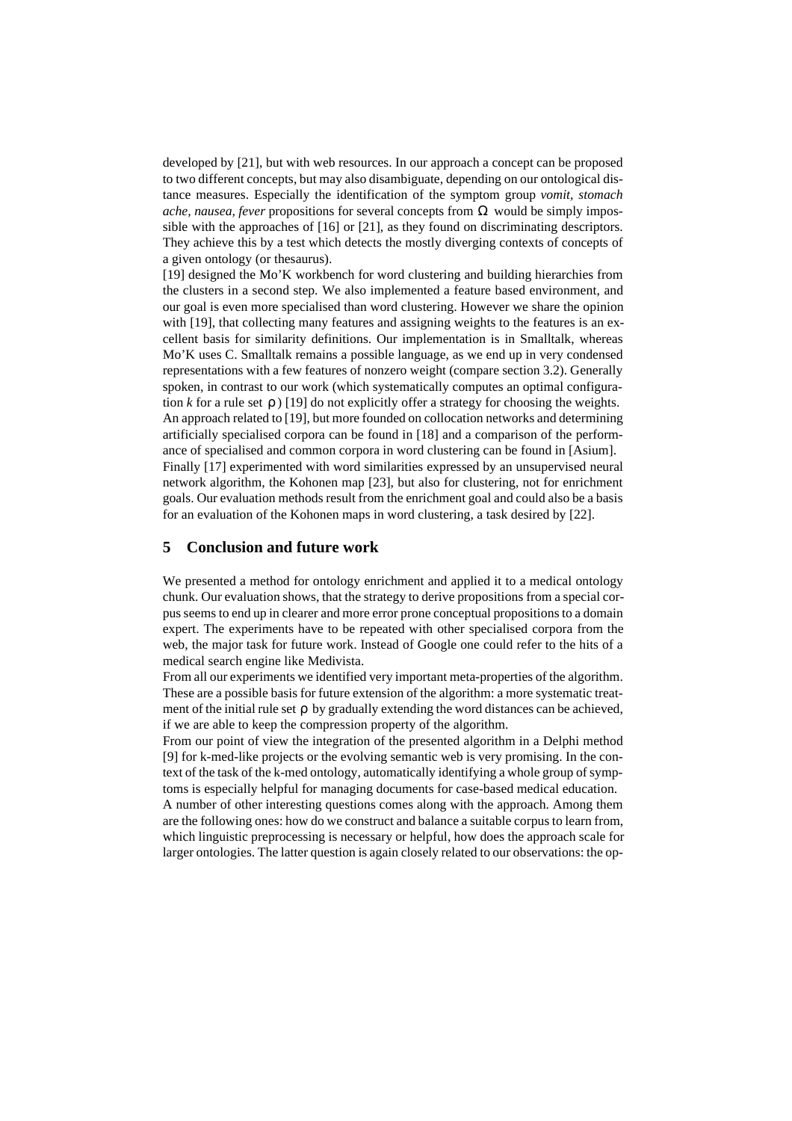developed by [21], but with web resources. In our approach a concept can be proposed to two different concepts, but may also disambiguate, depending on our ontological distance measures. Especially the identification of the symptom group *vomit, stomach ache, nausea, fever propositions for several concepts from*  $\Omega$  would be simply impossible with the approaches of [16] or [21], as they found on discriminating descriptors. They achieve this by a test which detects the mostly diverging contexts of concepts of a given ontology (or thesaurus).

[19] designed the Mo'K workbench for word clustering and building hierarchies from the clusters in a second step. We also implemented a feature based environment, and our goal is even more specialised than word clustering. However we share the opinion with [19], that collecting many features and assigning weights to the features is an excellent basis for similarity definitions. Our implementation is in Smalltalk, whereas Mo'K uses C. Smalltalk remains a possible language, as we end up in very condensed representations with a few features of nonzero weight (compare section 3.2). Generally spoken, in contrast to our work (which systematically computes an optimal configuration  $k$  for a rule set  $\rho$ ) [19] do not explicitly offer a strategy for choosing the weights. An approach related to [19], but more founded on collocation networks and determining artificially specialised corpora can be found in [18] and a comparison of the performance of specialised and common corpora in word clustering can be found in [Asium]. Finally [17] experimented with word similarities expressed by an unsupervised neural network algorithm, the Kohonen map [23], but also for clustering, not for enrichment goals. Our evaluation methods result from the enrichment goal and could also be a basis for an evaluation of the Kohonen maps in word clustering, a task desired by [22].

## **5 Conclusion and future work**

We presented a method for ontology enrichment and applied it to a medical ontology chunk. Our evaluation shows, that the strategy to derive propositions from a special corpus seems to end up in clearer and more error prone conceptual propositions to a domain expert. The experiments have to be repeated with other specialised corpora from the web, the major task for future work. Instead of Google one could refer to the hits of a medical search engine like Medivista.

From all our experiments we identified very important meta-properties of the algorithm. These are a possible basis for future extension of the algorithm: a more systematic treatment of the initial rule set  $\rho$  by gradually extending the word distances can be achieved, if we are able to keep the compression property of the algorithm.

From our point of view the integration of the presented algorithm in a Delphi method [9] for k-med-like projects or the evolving semantic web is very promising. In the context of the task of the k-med ontology, automatically identifying a whole group of symptoms is especially helpful for managing documents for case-based medical education. A number of other interesting questions comes along with the approach. Among them

are the following ones: how do we construct and balance a suitable corpus to learn from, which linguistic preprocessing is necessary or helpful, how does the approach scale for larger ontologies. The latter question is again closely related to our observations: the op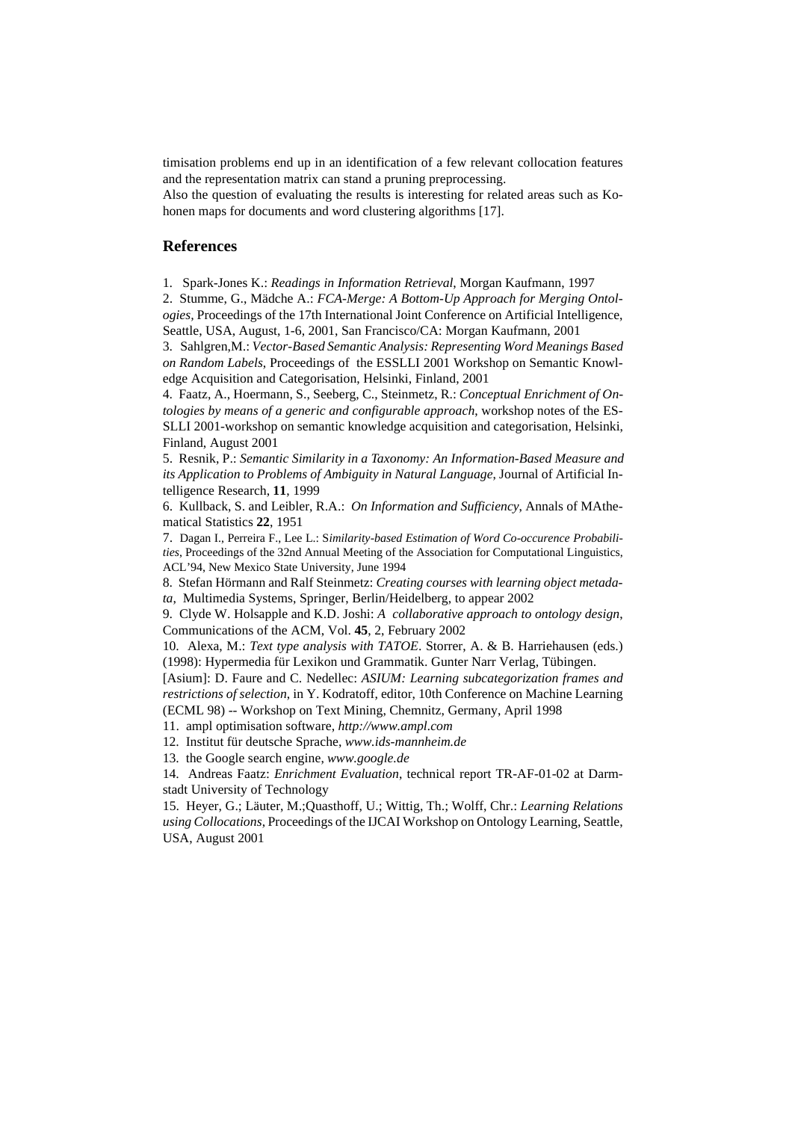timisation problems end up in an identification of a few relevant collocation features and the representation matrix can stand a pruning preprocessing.

Also the question of evaluating the results is interesting for related areas such as Kohonen maps for documents and word clustering algorithms [17].

## **References**

1. Spark-Jones K.: *Readings in Information Retrieval*, Morgan Kaufmann, 1997

2.Stumme, G., Mädche A.: *FCA-Merge: A Bottom-Up Approach for Merging Ontologies,* Proceedings of the 17th International Joint Conference on Artificial Intelligence, Seattle, USA, August, 1-6, 2001, San Francisco/CA: Morgan Kaufmann, 2001

3. Sahlgren,M.: *Vector-Based Semantic Analysis: Representing Word Meanings Based on Random Labels*, Proceedings of the ESSLLI 2001 Workshop on Semantic Knowledge Acquisition and Categorisation, Helsinki, Finland, 2001

4. Faatz, A., Hoermann, S., Seeberg, C., Steinmetz, R.: *Conceptual Enrichment of Ontologies by means of a generic and configurable approach*, workshop notes of the ES-SLLI 2001-workshop on semantic knowledge acquisition and categorisation, Helsinki, Finland, August 2001

5. Resnik, P.: *Semantic Similarity in a Taxonomy: An Information-Based Measure and its Application to Problems of Ambiguity in Natural Language*, Journal of Artificial Intelligence Research, **11**, 1999

6. Kullback, S. and Leibler, R.A.: *On Information and Sufficiency*, Annals of MAthematical Statistics **22**, 1951

7. Dagan I., Perreira F., Lee L.: S*imilarity-based Estimation of Word Co-occurence Probabilities*, Proceedings of the 32nd Annual Meeting of the Association for Computational Linguistics, ACL'94, New Mexico State University, June 1994

8. Stefan Hörmann and Ralf Steinmetz: *Creating courses with learning object metadata*, Multimedia Systems, Springer, Berlin/Heidelberg, to appear 2002

9. Clyde W. Holsapple and K.D. Joshi: *A collaborative approach to ontology design*, Communications of the ACM, Vol. **45**, 2, February 2002

10. Alexa, M.: *Text type analysis with TATOE*. Storrer, A. & B. Harriehausen (eds.) (1998): Hypermedia für Lexikon und Grammatik. Gunter Narr Verlag, Tübingen.

[Asium]: D. Faure and C. Nedellec: *ASIUM: Learning subcategorization frames and restrictions of selection*, in Y. Kodratoff, editor, 10th Conference on Machine Learning (ECML 98) -- Workshop on Text Mining, Chemnitz, Germany, April 1998

11. ampl optimisation software, *http://www.ampl.com*

12. Institut für deutsche Sprache, *www.ids-mannheim.de*

13. the Google search engine, *www.google.de*

14. Andreas Faatz: *Enrichment Evaluation*, technical report TR-AF-01-02 at Darmstadt University of Technology

15. Heyer, G.; Läuter, M.;Quasthoff, U.; Wittig, Th.; Wolff, Chr.: *Learning Relations using Collocations*, Proceedings of the IJCAI Workshop on Ontology Learning, Seattle, USA, August 2001